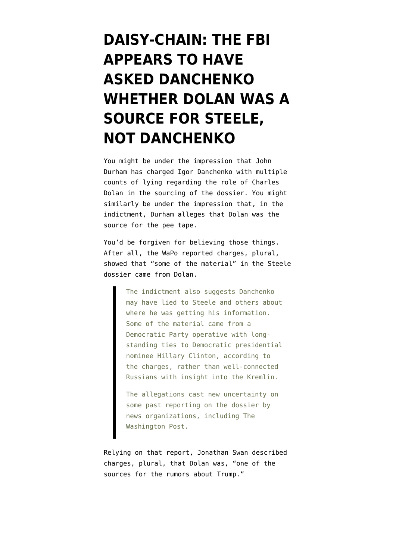## **[DAISY-CHAIN: THE FBI](https://www.emptywheel.net/2021/11/11/daisy-chain-the-fbi-appears-to-have-asked-danchenko-whether-dolan-was-a-source-for-steele-not-danchenko/) [APPEARS TO HAVE](https://www.emptywheel.net/2021/11/11/daisy-chain-the-fbi-appears-to-have-asked-danchenko-whether-dolan-was-a-source-for-steele-not-danchenko/) [ASKED DANCHENKO](https://www.emptywheel.net/2021/11/11/daisy-chain-the-fbi-appears-to-have-asked-danchenko-whether-dolan-was-a-source-for-steele-not-danchenko/) [WHETHER DOLAN WAS A](https://www.emptywheel.net/2021/11/11/daisy-chain-the-fbi-appears-to-have-asked-danchenko-whether-dolan-was-a-source-for-steele-not-danchenko/) [SOURCE FOR STEELE,](https://www.emptywheel.net/2021/11/11/daisy-chain-the-fbi-appears-to-have-asked-danchenko-whether-dolan-was-a-source-for-steele-not-danchenko/) [NOT DANCHENKO](https://www.emptywheel.net/2021/11/11/daisy-chain-the-fbi-appears-to-have-asked-danchenko-whether-dolan-was-a-source-for-steele-not-danchenko/)**

You might be under the impression that John Durham has charged Igor Danchenko with multiple counts of lying regarding the role of Charles Dolan in the sourcing of the dossier. You might similarly be under the impression that, [in the](https://www.justice.gov/sco/press-release/file/1446386/download) [indictment,](https://www.justice.gov/sco/press-release/file/1446386/download) Durham alleges that Dolan was the source for the pee tape.

You'd be forgiven for believing those things. After all, the [WaPo reported](https://www.washingtonpost.com/national-security/steele-dossier-arrest-danchenko-trump-durham/2021/11/04/7e76b9ae-3d77-11ec-8ee9-4f14a26749d1_story.html) charges, plural, showed that "some of the material" in the Steele dossier came from Dolan.

> The indictment also suggests Danchenko may have lied to Steele and others about where he was getting his information. Some of the material came from a Democratic Party operative with longstanding ties to Democratic presidential nominee Hillary Clinton, according to the charges, rather than well-connected Russians with insight into the Kremlin.

The allegations cast new uncertainty on some past reporting on the dossier by news organizations, including The Washington Post.

Relying on that report, Jonathan Swan [described](https://twitter.com/jonathanvswan/status/1456619895685267457) charges, plural, that Dolan was, "one of the sources for the rumors about Trump."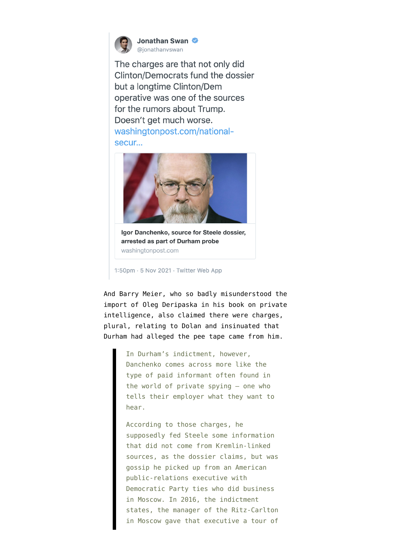

Jonathan Swan @ionathanyswan

The charges are that not only did Clinton/Democrats fund the dossier but a longtime Clinton/Dem operative was one of the sources for the rumors about Trump. Doesn't get much worse. washingtonpost.com/nationalsecur...



Igor Danchenko, source for Steele dossier, arrested as part of Durham probe washingtonpost.com

1:50pm · 5 Nov 2021 · Twitter Web App

And Barry Meier, who [so badly misunderstood](https://www.emptywheel.net/2021/05/23/you-cannot-discuss-disinformation-and-the-steele-dossier-without-discussing-oleg-deripaska/) the import of Oleg Deripaska in his book on private intelligence, also [claimed](https://nymag.com/intelligencer/2021/11/igor-danchenko-and-the-crippling-blow-for-the-steele-dossier.html) there were charges, plural, relating to Dolan and insinuated that Durham had alleged the pee tape came from him.

> In Durham's indictment, however, Danchenko comes across more like the type of paid informant often found in the world of private spying — one who tells their employer what they want to hear.

According to those charges, he supposedly fed Steele some information that did not come from Kremlin-linked sources, as the dossier claims, but was gossip he picked up from an American public-relations executive with Democratic Party ties who did business in Moscow. In 2016, the indictment states, the manager of the Ritz-Carlton in Moscow gave that executive a tour of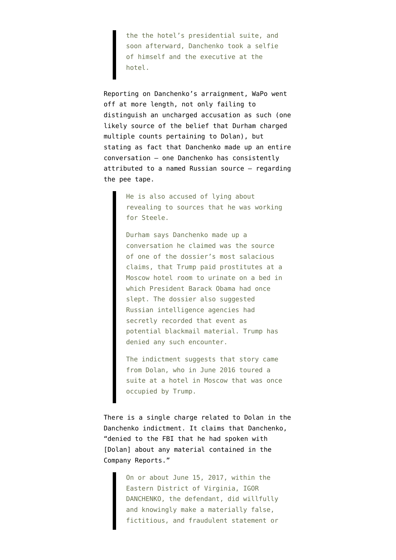the the hotel's presidential suite, and soon afterward, Danchenko took a selfie of himself and the executive at the hotel.

Reporting on Danchenko's arraignment, [WaPo went](https://www.washingtonpost.com/local/legal-issues/steele-dossier-danchenko-pleads-not-guilty/2021/11/10/f1cf661e-41b7-11ec-9ea7-3eb2406a2e24_story.html) [off at more length,](https://www.washingtonpost.com/local/legal-issues/steele-dossier-danchenko-pleads-not-guilty/2021/11/10/f1cf661e-41b7-11ec-9ea7-3eb2406a2e24_story.html) not only failing to distinguish [an uncharged accusation](https://www.emptywheel.net/2021/11/08/yes-and-no-john-durham-claims-an-answer-about-intelligence-collection-covers-all-networking/) as such (one likely source of the belief that Durham charged multiple counts pertaining to Dolan), but stating as fact that Danchenko made up an entire conversation — one Danchenko has consistently attributed to a named Russian source — regarding the pee tape.

> He is also accused of lying about revealing to sources that he was working for Steele.

> Durham says Danchenko made up a conversation he claimed was the source of one of the dossier's most salacious claims, that Trump paid prostitutes at a Moscow hotel room to urinate on a bed in which President Barack Obama had once slept. The dossier also suggested Russian intelligence agencies had secretly recorded that event as potential blackmail material. Trump has denied any such encounter.

> The indictment suggests that story came from Dolan, who in June 2016 toured a suite at a hotel in Moscow that was once occupied by Trump.

There is a single charge related to Dolan in the Danchenko indictment. It claims that Danchenko, "denied to the FBI that he had spoken with [Dolan] about any material contained in the Company Reports."

> On or about June 15, 2017, within the Eastern District of Virginia, IGOR DANCHENKO, the defendant, did willfully and knowingly make a materially false, fictitious, and fraudulent statement or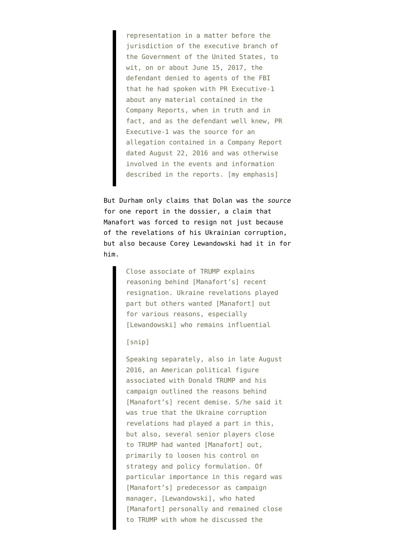representation in a matter before the jurisdiction of the executive branch of the Government of the United States, to wit, on or about June 15, 2017, the defendant denied to agents of the FBI that he had spoken with PR Executive-1 about any material contained in the Company Reports, when in truth and in fact, and as the defendant well knew, PR Executive-1 was the source for an allegation contained in a Company Report dated August 22, 2016 and was otherwise involved in the events and information described in the reports. [my emphasis]

But Durham only claims that Dolan was the *source* for one report in [the dossier](https://www.documentcloud.org/documents/3259984-Trump-Intelligence-Allegations.html#page=21), a claim that Manafort was forced to resign not just because of the revelations of his Ukrainian corruption, but also because Corey Lewandowski had it in for him.

> Close associate of TRUMP explains reasoning behind [Manafort's] recent resignation. Ukraine revelations played part but others wanted [Manafort] out for various reasons, especially [Lewandowski] who remains influential

## [snip]

Speaking separately, also in late August 2016, an American political figure associated with Donald TRUMP and his campaign outlined the reasons behind [Manafort's] recent demise. S/he said it was true that the Ukraine corruption revelations had played a part in this, but also, several senior players close to TRUMP had wanted [Manafort] out, primarily to loosen his control on strategy and policy formulation. Of particular importance in this regard was [Manafort's] predecessor as campaign manager, [Lewandowski], who hated [Manafort] personally and remained close to TRUMP with whom he discussed the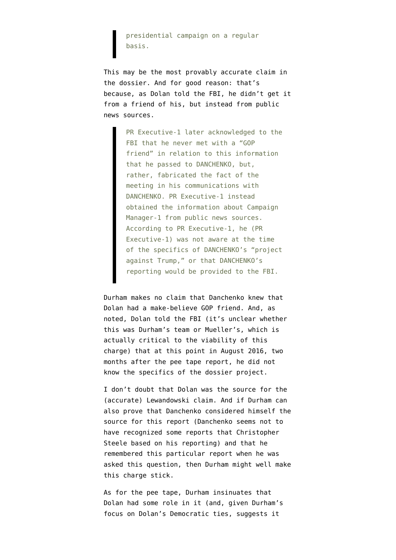presidential campaign on a regular basis.

This may be the most provably accurate claim in the dossier. And for good reason: that's because, as Dolan told the FBI, he didn't get it from a friend of his, but instead from public news sources.

> PR Executive-1 later acknowledged to the FBI that he never met with a "GOP friend" in relation to this information that he passed to DANCHENKO, but, rather, fabricated the fact of the meeting in his communications with DANCHENKO. PR Executive-1 instead obtained the information about Campaign Manager-1 from public news sources. According to PR Executive-1, he (PR Executive-1) was not aware at the time of the specifics of DANCHENKO's "project against Trump," or that DANCHENKO's reporting would be provided to the FBI.

Durham makes no claim that Danchenko knew that Dolan had a make-believe GOP friend. And, as noted, Dolan told the FBI (it's unclear whether this was Durham's team or Mueller's, which is actually critical to the viability of this charge) that at this point in August 2016, two months after the pee tape report, he did not know the specifics of the dossier project.

I don't doubt that Dolan was the source for the (accurate) Lewandowski claim. And if Durham can also prove that Danchenko considered himself the source for this report (Danchenko seems not to have recognized some reports that Christopher Steele based on his reporting) and that he remembered this particular report when he was asked this question, then Durham might well make this charge stick.

As for the pee tape, Durham insinuates that Dolan had some role in it (and, given Durham's focus on Dolan's Democratic ties, suggests it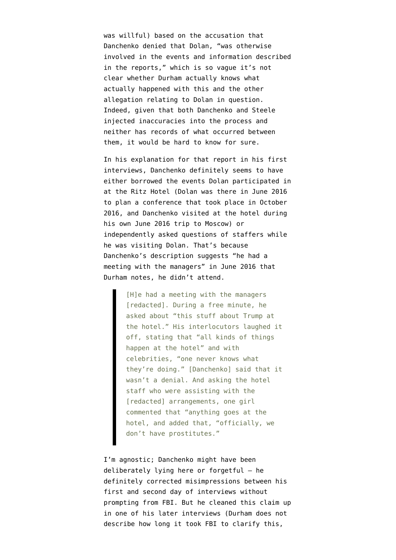was willful) based on the accusation that Danchenko denied that Dolan, "was otherwise involved in the events and information described in the reports," which is so vague it's not clear whether Durham actually knows what actually happened with this and the other allegation relating to Dolan in question. Indeed, given that both Danchenko and Steele injected inaccuracies into the process and neither has records of what occurred between them, it would be hard to know for sure.

In his explanation for that report [in his first](https://www.judiciary.senate.gov/imo/media/doc/February%209,%202017%20Electronic%20Communication.pdf) [interviews,](https://www.judiciary.senate.gov/imo/media/doc/February%209,%202017%20Electronic%20Communication.pdf) Danchenko definitely seems to have either borrowed the events Dolan participated in at the Ritz Hotel (Dolan was there in June 2016 to plan a conference that took place in October 2016, and Danchenko visited at the hotel during his own June 2016 trip to Moscow) or independently asked questions of staffers while he was visiting Dolan. That's because Danchenko's description suggests "he had a meeting with the managers" in June 2016 that Durham notes, he didn't attend.

> [H]e had a meeting with the managers [redacted]. During a free minute, he asked about "this stuff about Trump at the hotel." His interlocutors laughed it off, stating that "all kinds of things happen at the hotel" and with celebrities, "one never knows what they're doing." [Danchenko] said that it wasn't a denial. And asking the hotel staff who were assisting with the [redacted] arrangements, one girl commented that "anything goes at the hotel, and added that, "officially, we don't have prostitutes."

I'm agnostic; Danchenko might have been deliberately lying here or forgetful — he definitely corrected misimpressions between his first and second day of interviews without prompting from FBI. But he cleaned this claim up in one of his later interviews (Durham does not describe how long it took FBI to clarify this,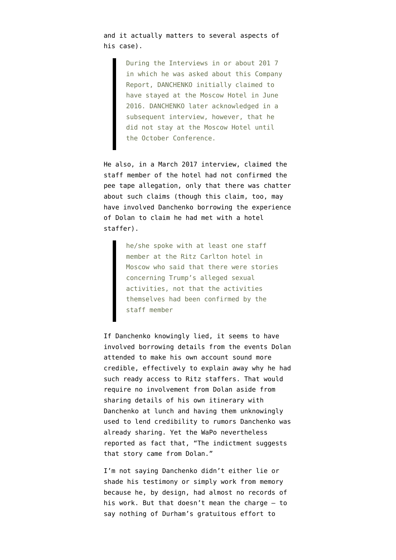and it actually matters to several aspects of his case).

> During the Interviews in or about 201 7 in which he was asked about this Company Report, DANCHENKO initially claimed to have stayed at the Moscow Hotel in June 2016. DANCHENKO later acknowledged in a subsequent interview, however, that he did not stay at the Moscow Hotel until the October Conference.

He also, in a March 2017 interview, [claimed](https://www.justice.gov/storage/120919-examination.pdf) the staff member of the hotel had not confirmed the pee tape allegation, only that there was chatter about such claims (though this claim, too, may have involved Danchenko borrowing the experience of Dolan to claim he had met with a hotel staffer).

> he/she spoke with at least one staff member at the Ritz Carlton hotel in Moscow who said that there were stories concerning Trump's alleged sexual activities, not that the activities themselves had been confirmed by the staff member

If Danchenko knowingly lied, it seems to have involved borrowing details from the events Dolan attended to make his own account sound more credible, effectively to explain away why he had such ready access to Ritz staffers. That would require no involvement from Dolan aside from sharing details of his own itinerary with Danchenko at lunch and having them unknowingly used to lend credibility to rumors Danchenko was already sharing. Yet the WaPo nevertheless reported as fact that, "The indictment suggests that story came from Dolan."

I'm not saying Danchenko didn't either lie or shade his testimony or simply work from memory because he, by design, had almost no records of his work. But that doesn't mean the charge  $-$  to say nothing of Durham's gratuitous effort to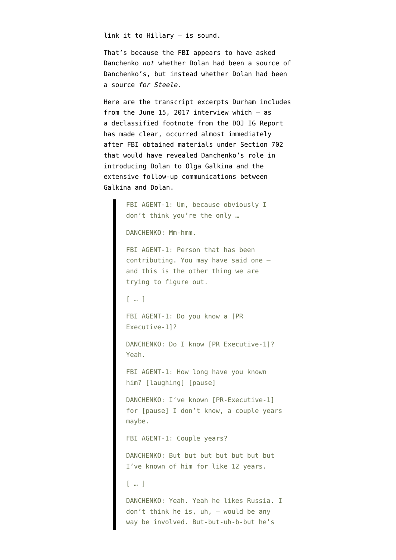link it to Hillary — is sound.

That's because the FBI appears to have asked Danchenko *not* whether Dolan had been a source of Danchenko's, but instead whether Dolan had been a source *for Steele*.

Here are the transcript excerpts Durham includes from the June 15, 2017 interview which — as a [declassified footnote](https://www.emptywheel.net/wp-content/uploads/2020/04/200415-DOJ-IG-Footnotes.pdf) from the DOJ IG Report has made clear, occurred almost immediately after [FBI obtained materials under Section 702](https://www.emptywheel.net/2021/11/07/john-durham-may-have-made-igor-danchenko-aggrieved-under-fisa/) that would have revealed Danchenko's role in introducing Dolan to Olga Galkina and the extensive follow-up communications between Galkina and Dolan.

> FBI AGENT-1: Um, because obviously I don't think you're the only … DANCHENKO: Mm-hmm. FBI AGENT-1: Person that has been contributing. You may have said one – and this is the other thing we are trying to figure out. [ … ] FBI AGENT-1: Do you know a [PR Executive-1]? DANCHENKO: Do I know [PR Executive-1]? Yeah. FBI AGENT-1: How long have you known him? [laughing] [pause] DANCHENKO: I've known [PR-Executive-1] for [pause] I don't know, a couple years maybe. FBI AGENT-1: Couple years? DANCHENKO: But but but but but but but I've known of him for like 12 years. [ … ] DANCHENKO: Yeah. Yeah he likes Russia. I don't think he is, uh, – would be any way be involved. But-but-uh-b-but he's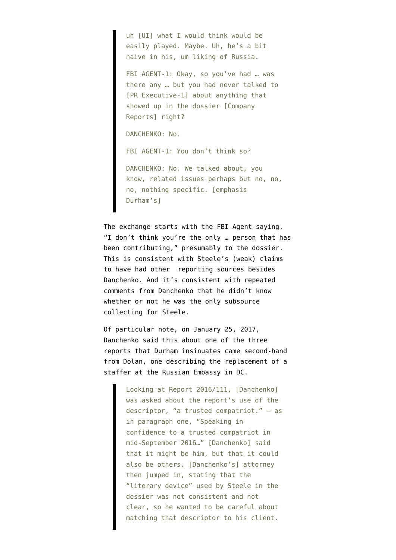uh [UI] what I would think would be easily played. Maybe. Uh, he's a bit naive in his, um liking of Russia.

FBI AGENT-1: Okay, so you've had … was there any … but you had never talked to [PR Executive-1] about anything that showed up in the dossier [Company Reports] right?

DANCHENKO: No.

FBI AGENT-1: You don't think so?

DANCHENKO: No. We talked about, you know, related issues perhaps but no, no, no, nothing specific. [emphasis Durham's]

The exchange starts with the FBI Agent saying, "I don't think you're the only … person that has been contributing," presumably to the dossier. This is consistent with Steele's (weak) claims to have had other reporting sources besides Danchenko. And it's consistent with repeated comments from Danchenko that he didn't know whether or not he was the only subsource collecting for Steele.

Of particular note, on January 25, 2017, Danchenko said this about one of the three reports that Durham insinuates came second-hand from Dolan, one describing the replacement of a staffer at the Russian Embassy in DC.

> Looking at Report 2016/111, [Danchenko] was asked about the report's use of the descriptor, "a trusted compatriot." — as in paragraph one, "Speaking in confidence to a trusted compatriot in mid-September 2016…" [Danchenko] said that it might be him, but that it could also be others. [Danchenko's] attorney then jumped in, stating that the "literary device" used by Steele in the dossier was not consistent and not clear, so he wanted to be careful about matching that descriptor to his client.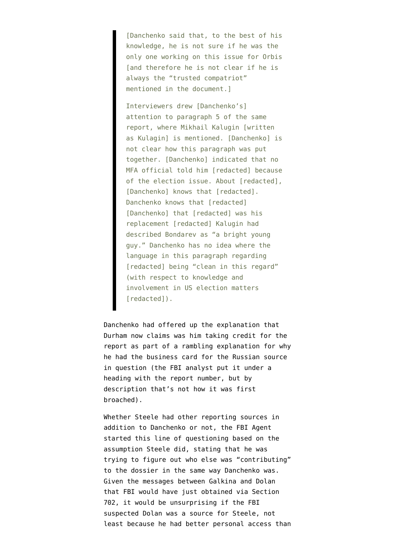[Danchenko said that, to the best of his knowledge, he is not sure if he was the only one working on this issue for Orbis [and therefore he is not clear if he is always the "trusted compatriot" mentioned in the document.]

Interviewers drew [Danchenko's] attention to paragraph 5 of the same report, where Mikhail Kalugin [written as Kulagin] is mentioned. [Danchenko] is not clear how this paragraph was put together. [Danchenko] indicated that no MFA official told him [redacted] because of the election issue. About [redacted], [Danchenko] knows that [redacted]. Danchenko knows that [redacted] [Danchenko] that [redacted] was his replacement [redacted] Kalugin had described Bondarev as "a bright young guy." Danchenko has no idea where the language in this paragraph regarding [redacted] being "clean in this regard" (with respect to knowledge and involvement in US election matters [redacted]).

Danchenko had offered up the explanation that Durham now claims was him taking credit for the report as part of a rambling explanation for why he had the business card for the Russian source in question (the FBI analyst put it under a heading with the report number, but by description that's not how it was first broached).

Whether Steele had other reporting sources in addition to Danchenko or not, the FBI Agent started this line of questioning based on the assumption Steele did, stating that he was trying to figure out who else was "contributing" to the dossier in the same way Danchenko was. Given the messages between Galkina and Dolan that FBI would have just obtained via Section 702, it would be unsurprising if the FBI suspected Dolan was a source for Steele, not least because he had better personal access than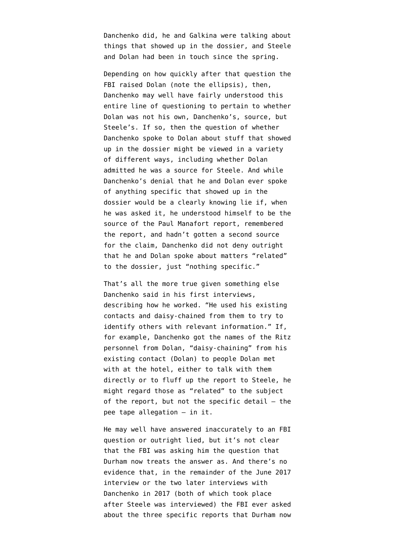Danchenko did, he and Galkina were talking about things that showed up in the dossier, and Steele and Dolan had been in touch since the spring.

Depending on how quickly after that question the FBI raised Dolan (note the ellipsis), then, Danchenko may well have fairly understood this entire line of questioning to pertain to whether Dolan was not his own, Danchenko's, source, but Steele's. If so, then the question of whether Danchenko spoke to Dolan about stuff that showed up in the dossier might be viewed in a variety of different ways, including whether Dolan admitted he was a source for Steele. And while Danchenko's denial that he and Dolan ever spoke of anything specific that showed up in the dossier would be a clearly knowing lie if, when he was asked it, he understood himself to be the source of the Paul Manafort report, remembered the report, and hadn't gotten a second source for the claim, Danchenko did not deny outright that he and Dolan spoke about matters "related" to the dossier, just "nothing specific."

That's all the more true given something else Danchenko said in his first interviews, describing how he worked. "He used his existing contacts and daisy-chained from them to try to identify others with relevant information." If, for example, Danchenko got the names of the Ritz personnel from Dolan, "daisy-chaining" from his existing contact (Dolan) to people Dolan met with at the hotel, either to talk with them directly or to fluff up the report to Steele, he might regard those as "related" to the subject of the report, but not the specific detail  $-$  the pee tape allegation — in it.

He may well have answered inaccurately to an FBI question or outright lied, but it's not clear that the FBI was asking him the question that Durham now treats the answer as. And there's no evidence that, in the remainder of the June 2017 interview or the two later interviews with Danchenko in 2017 (both of which took place after Steele was interviewed) the FBI ever asked about the three specific reports that Durham now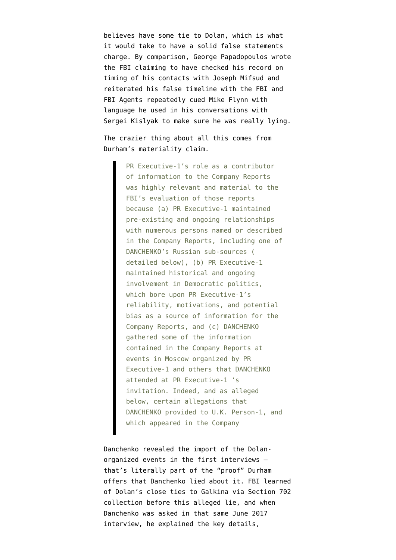believes have some tie to Dolan, which is what it would take to have a solid false statements charge. By comparison, George Papadopoulos wrote the FBI claiming to have checked his record on timing of his contacts with Joseph Mifsud and reiterated his false timeline with the FBI and FBI Agents repeatedly cued Mike Flynn with language he used in his conversations with Sergei Kislyak to make sure he was really lying.

The crazier thing about all this comes from Durham's materiality claim.

> PR Executive-1's role as a contributor of information to the Company Reports was highly relevant and material to the FBI's evaluation of those reports because (a) PR Executive-1 maintained pre-existing and ongoing relationships with numerous persons named or described in the Company Reports, including one of DANCHENKO's Russian sub-sources ( detailed below), (b) PR Executive-1 maintained historical and ongoing involvement in Democratic politics, which bore upon PR Executive-1's reliability, motivations, and potential bias as a source of information for the Company Reports, and (c) DANCHENKO gathered some of the information contained in the Company Reports at events in Moscow organized by PR Executive-1 and others that DANCHENKO attended at PR Executive-1 's invitation. Indeed, and as alleged below, certain allegations that DANCHENKO provided to U.K. Person-1, and which appeared in the Company

Danchenko revealed the import of the Dolanorganized events in the first interviews that's literally part of the "proof" Durham offers that Danchenko lied about it. FBI learned of Dolan's close ties to Galkina via Section 702 collection before this alleged lie, and when Danchenko was asked in that same June 2017 interview, he explained the key details,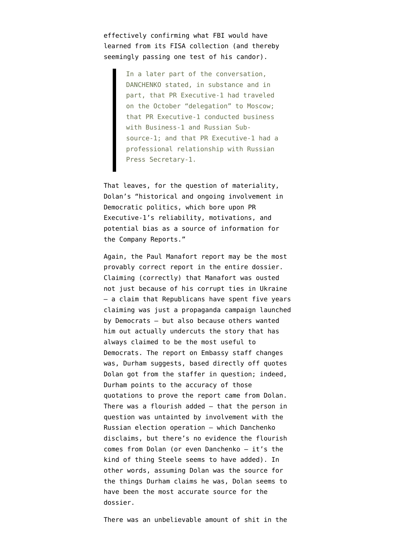effectively confirming what FBI would have learned from its FISA collection (and thereby seemingly passing one test of his candor).

> In a later part of the conversation, DANCHENKO stated, in substance and in part, that PR Executive-1 had traveled on the October "delegation" to Moscow; that PR Executive-1 conducted business with Business-1 and Russian Subsource-1; and that PR Executive-1 had a professional relationship with Russian Press Secretary-1.

That leaves, for the question of materiality, Dolan's "historical and ongoing involvement in Democratic politics, which bore upon PR Executive-1's reliability, motivations, and potential bias as a source of information for the Company Reports."

Again, the Paul Manafort report may be the most provably correct report in the entire dossier. Claiming (correctly) that Manafort was ousted not just because of his corrupt ties in Ukraine — a claim that Republicans have spent five years claiming was just a propaganda campaign launched by Democrats — but also because others wanted him out actually undercuts the story that has always claimed to be the most useful to Democrats. The report on Embassy staff changes was, Durham suggests, based directly off quotes Dolan got from the staffer in question; indeed, Durham points to the accuracy of those quotations to prove the report came from Dolan. There was a flourish added — that the person in question was untainted by involvement with the Russian election operation — which Danchenko disclaims, but there's no evidence the flourish comes from Dolan (or even Danchenko — it's the kind of thing Steele seems to have added). In other words, assuming Dolan was the source for the things Durham claims he was, Dolan seems to have been the most accurate source for the dossier.

There was an unbelievable amount of shit in the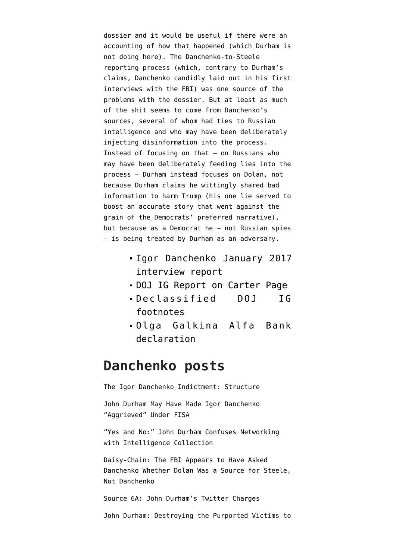dossier and it would be useful if there were an accounting of how that happened (which Durham is not doing here). The Danchenko-to-Steele reporting process (which, contrary to Durham's claims, Danchenko [candidly laid out](https://www.emptywheel.net/2021/11/08/yes-and-no-john-durham-claims-an-answer-about-intelligence-collection-covers-all-networking/) in his first interviews with the FBI) was one source of the problems with the dossier. But at least as much of the shit seems to come from Danchenko's sources, several of whom had ties to Russian intelligence and who may have been deliberately injecting disinformation into the process. Instead of focusing on that — on Russians who may have been deliberately feeding lies into the process — Durham instead focuses on Dolan, not because Durham claims he wittingly shared bad information to harm Trump (his one lie served to boost an accurate story that went against the grain of the Democrats' preferred narrative), but because as a Democrat he — not Russian spies — is being treated by Durham as an adversary.

- [Igor Danchenko January 2017](https://www.judiciary.senate.gov/imo/media/doc/February%209,%202017%20Electronic%20Communication.pdf) [interview report](https://www.judiciary.senate.gov/imo/media/doc/February%209,%202017%20Electronic%20Communication.pdf)
- [DOJ IG Report on Carter Page](https://www.justice.gov/storage/120919-examination.pdf)
- [Declassified DOJ IG](https://www.emptywheel.net/wp-content/uploads/2020/04/200415-DOJ-IG-Footnotes.pdf) [footnotes](https://www.emptywheel.net/wp-content/uploads/2020/04/200415-DOJ-IG-Footnotes.pdf)
- [Olga Galkina Alfa Bank](https://storage.courtlistener.com/recap/gov.uscourts.dcd.189930/gov.uscourts.dcd.189930.153.8.pdf) [declaration](https://storage.courtlistener.com/recap/gov.uscourts.dcd.189930/gov.uscourts.dcd.189930.153.8.pdf)

## **Danchenko posts**

[The Igor Danchenko Indictment: Structure](https://www.emptywheel.net/2021/11/05/the-igor-danchenko-indictment-structure/)

[John Durham May Have Made Igor Danchenko](https://www.emptywheel.net/2021/11/07/john-durham-may-have-made-igor-danchenko-aggrieved-under-fisa/) ["Aggrieved" Under FISA](https://www.emptywheel.net/2021/11/07/john-durham-may-have-made-igor-danchenko-aggrieved-under-fisa/)

["Yes and No:" John Durham Confuses Networking](https://www.emptywheel.net/2021/11/08/yes-and-no-john-durham-claims-an-answer-about-intelligence-collection-covers-all-networking/) [with Intelligence Collection](https://www.emptywheel.net/2021/11/08/yes-and-no-john-durham-claims-an-answer-about-intelligence-collection-covers-all-networking/)

[Daisy-Chain: The FBI Appears to Have Asked](https://www.emptywheel.net/2021/11/11/daisy-chain-the-fbi-appears-to-have-asked-danchenko-whether-dolan-was-a-source-for-steele-not-danchenko/) [Danchenko Whether Dolan Was a Source for Steele,](https://www.emptywheel.net/2021/11/11/daisy-chain-the-fbi-appears-to-have-asked-danchenko-whether-dolan-was-a-source-for-steele-not-danchenko/) [Not Danchenko](https://www.emptywheel.net/2021/11/11/daisy-chain-the-fbi-appears-to-have-asked-danchenko-whether-dolan-was-a-source-for-steele-not-danchenko/)

[Source 6A: John Durham's Twitter Charges](https://www.emptywheel.net/2021/11/12/source-6a-john-durhams-twitter-charges/)

[John Durham: Destroying the Purported Victims to](https://www.emptywheel.net/2021/11/15/john-durham-destroying-the-purported-victims-to-save-them/)